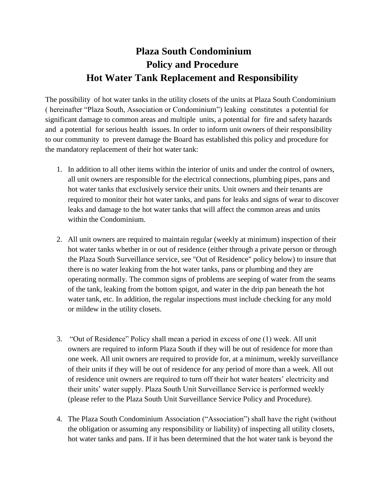## **Plaza South Condominium Policy and Procedure Hot Water Tank Replacement and Responsibility**

The possibility of hot water tanks in the utility closets of the units at Plaza South Condominium ( hereinafter "Plaza South, Association or Condominium") leaking constitutes a potential for significant damage to common areas and multiple units, a potential for fire and safety hazards and a potential for serious health issues. In order to inform unit owners of their responsibility to our community to prevent damage the Board has established this policy and procedure for the mandatory replacement of their hot water tank:

- 1. In addition to all other items within the interior of units and under the control of owners, all unit owners are responsible for the electrical connections, plumbing pipes, pans and hot water tanks that exclusively service their units. Unit owners and their tenants are required to monitor their hot water tanks, and pans for leaks and signs of wear to discover leaks and damage to the hot water tanks that will affect the common areas and units within the Condominium.
- 2. All unit owners are required to maintain regular (weekly at minimum) inspection of their hot water tanks whether in or out of residence (either through a private person or through the Plaza South Surveillance service, see "Out of Residence" policy below) to insure that there is no water leaking from the hot water tanks, pans or plumbing and they are operating normally. The common signs of problems are seeping of water from the seams of the tank, leaking from the bottom spigot, and water in the drip pan beneath the hot water tank, etc. In addition, the regular inspections must include checking for any mold or mildew in the utility closets.
- 3. "Out of Residence" Policy shall mean a period in excess of one (1) week. All unit owners are required to inform Plaza South if they will be out of residence for more than one week. All unit owners are required to provide for, at a minimum, weekly surveillance of their units if they will be out of residence for any period of more than a week. All out of residence unit owners are required to turn off their hot water heaters' electricity and their units' water supply. Plaza South Unit Surveillance Service is performed weekly (please refer to the Plaza South Unit Surveillance Service Policy and Procedure).
- 4. The Plaza South Condominium Association ("Association") shall have the right (without the obligation or assuming any responsibility or liability) of inspecting all utility closets, hot water tanks and pans. If it has been determined that the hot water tank is beyond the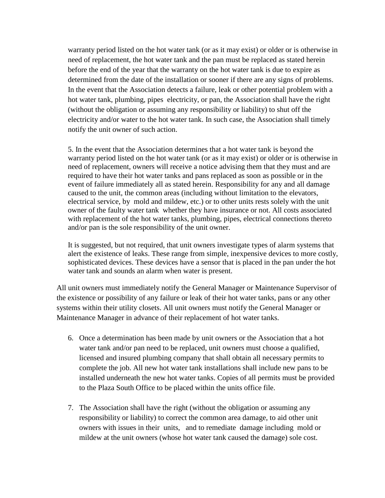warranty period listed on the hot water tank (or as it may exist) or older or is otherwise in need of replacement, the hot water tank and the pan must be replaced as stated herein before the end of the year that the warranty on the hot water tank is due to expire as determined from the date of the installation or sooner if there are any signs of problems. In the event that the Association detects a failure, leak or other potential problem with a hot water tank, plumbing, pipes electricity, or pan, the Association shall have the right (without the obligation or assuming any responsibility or liability) to shut off the electricity and/or water to the hot water tank. In such case, the Association shall timely notify the unit owner of such action.

5. In the event that the Association determines that a hot water tank is beyond the warranty period listed on the hot water tank (or as it may exist) or older or is otherwise in need of replacement, owners will receive a notice advising them that they must and are required to have their hot water tanks and pans replaced as soon as possible or in the event of failure immediately all as stated herein. Responsibility for any and all damage caused to the unit, the common areas (including without limitation to the elevators, electrical service, by mold and mildew, etc.) or to other units rests solely with the unit owner of the faulty water tank whether they have insurance or not. All costs associated with replacement of the hot water tanks, plumbing, pipes, electrical connections thereto and/or pan is the sole responsibility of the unit owner.

It is suggested, but not required, that unit owners investigate types of alarm systems that alert the existence of leaks. These range from simple, inexpensive devices to more costly, sophisticated devices. These devices have a sensor that is placed in the pan under the hot water tank and sounds an alarm when water is present.

All unit owners must immediately notify the General Manager or Maintenance Supervisor of the existence or possibility of any failure or leak of their hot water tanks, pans or any other systems within their utility closets. All unit owners must notify the General Manager or Maintenance Manager in advance of their replacement of hot water tanks.

- 6. Once a determination has been made by unit owners or the Association that a hot water tank and/or pan need to be replaced, unit owners must choose a qualified, licensed and insured plumbing company that shall obtain all necessary permits to complete the job. All new hot water tank installations shall include new pans to be installed underneath the new hot water tanks. Copies of all permits must be provided to the Plaza South Office to be placed within the units office file.
- 7. The Association shall have the right (without the obligation or assuming any responsibility or liability) to correct the common area damage, to aid other unit owners with issues in their units, and to remediate damage including mold or mildew at the unit owners (whose hot water tank caused the damage) sole cost.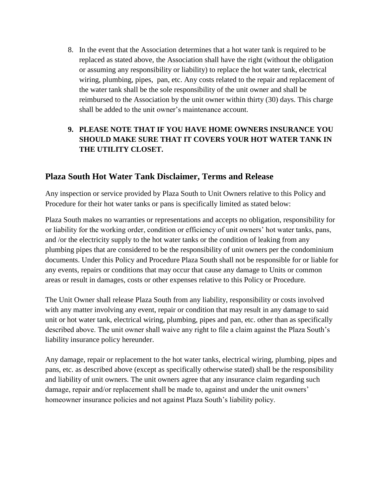8. In the event that the Association determines that a hot water tank is required to be replaced as stated above, the Association shall have the right (without the obligation or assuming any responsibility or liability) to replace the hot water tank, electrical wiring, plumbing, pipes, pan, etc. Any costs related to the repair and replacement of the water tank shall be the sole responsibility of the unit owner and shall be reimbursed to the Association by the unit owner within thirty (30) days. This charge shall be added to the unit owner's maintenance account.

## **9. PLEASE NOTE THAT IF YOU HAVE HOME OWNERS INSURANCE YOU SHOULD MAKE SURE THAT IT COVERS YOUR HOT WATER TANK IN THE UTILITY CLOSET.**

## **Plaza South Hot Water Tank Disclaimer, Terms and Release**

Any inspection or service provided by Plaza South to Unit Owners relative to this Policy and Procedure for their hot water tanks or pans is specifically limited as stated below:

Plaza South makes no warranties or representations and accepts no obligation, responsibility for or liability for the working order, condition or efficiency of unit owners' hot water tanks, pans, and /or the electricity supply to the hot water tanks or the condition of leaking from any plumbing pipes that are considered to be the responsibility of unit owners per the condominium documents. Under this Policy and Procedure Plaza South shall not be responsible for or liable for any events, repairs or conditions that may occur that cause any damage to Units or common areas or result in damages, costs or other expenses relative to this Policy or Procedure.

The Unit Owner shall release Plaza South from any liability, responsibility or costs involved with any matter involving any event, repair or condition that may result in any damage to said unit or hot water tank, electrical wiring, plumbing, pipes and pan, etc. other than as specifically described above. The unit owner shall waive any right to file a claim against the Plaza South's liability insurance policy hereunder.

Any damage, repair or replacement to the hot water tanks, electrical wiring, plumbing, pipes and pans, etc. as described above (except as specifically otherwise stated) shall be the responsibility and liability of unit owners. The unit owners agree that any insurance claim regarding such damage, repair and/or replacement shall be made to, against and under the unit owners' homeowner insurance policies and not against Plaza South's liability policy.